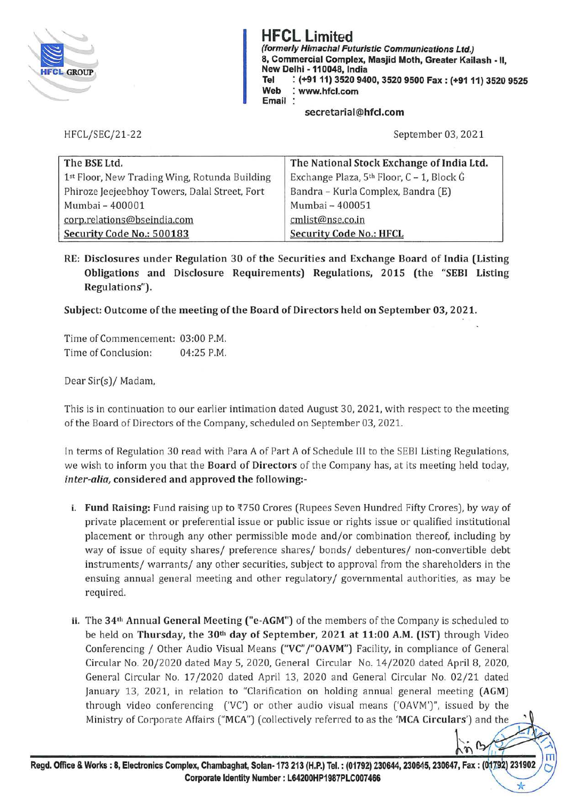

**(formerly Himachal Futuristic Communications Ltd.)** (formerly Himachal Futuristic Communications Ltd.)<br>8, Commercial Complex, Masjid Moth, Greater Kail<br>New Delhi - 110048, India 8, Commercial Complex, Masjid Moth, Greater Kailash - II, New Delhi -110048, India Tel : (+91 11) 3520 9400, 3520 9500 Fax : (+91 11) 3520 9525<br>Web : www.hfcl.com<br>Email :<br>secretarial@hfcl.com **Web** : **www.hfcl.com Email** :

## **secretarial@hfcl.com**

HFCL/SEC/21-2 2 September 03, 2021

 $\frac{1}{2}$  in B

| The BSE Ltd.                                  | The National Stock Exchange of India Ltd. |  |
|-----------------------------------------------|-------------------------------------------|--|
| 1st Floor, New Trading Wing, Rotunda Building | Exchange Plaza, 5th Floor, C - 1, Block G |  |
| Phiroze Jeejeebhoy Towers, Dalal Street, Fort | Bandra - Kurla Complex, Bandra (E)        |  |
| Mumbai - 400001                               | Mumbai - 400051                           |  |
| corp.relations@bseindia.com                   | cmlist@nse.co.in                          |  |
| Security Code No.: 500183                     | <b>Security Code No.: HFCL</b>            |  |

**RE: Disclosures under Regulation 30 of the Securities and Exchange Board of India (Listing Obligations and Disclosure Requirements) Regulations, 2015 (the "SEBI Listing Regulations").** 

**Subject: Outcome of the meeting of the Board of Directors held on September 03, 2021.** 

Time of Commencement: 03:00 P.M. Time of Conclusion: 04:25 P.M.

Dear Sir(s)/ Madam,

This is in continuation to our earlier intimation dated August 30, 2021, with respect to the meeting of the Board of Directors of the Company, scheduled on September 03, 2021.

In terms of Regulation 30 read with Para A of Part A of Schedule III to the SEBI Listing Regulations, we wish to inform you that the **Board of Directors** of the Company has, at its meeting held today, *inter-alia,* **considered and approved the following:-**

- i. **Fund Raising:** Fund raising up to ₹750 Crores (Rupees Seven Hundred Fifty Crores), by way of private placement or preferential issue or public issue or rights issue or qualified institutional placement or through any other permissible mode and/or combination thereof, including by way of issue of equity shares/ preference shares/ bonds/ debentures/ non-convertible debt instruments/ warrants/ any other securities, subject to approval from the shareholders in the ensuing annual general meeting and other regulatory/ governmental authorities, as may be required.
- ii. The **34th Annual General Meeting ("e-AGM")** of the members of the Company is scheduled to be held on **Thursday, the 30th day of September, 2021 at 11:00 A.M. (1ST)** through Video Conferencing / Other Audio Visual Means **("VC" j"OAVM")** Facility, in compliance of General Circular No. 20/2020 dated May 5, 2020, General Circular No. 14/2020 dated April 8, 2020, General Circular No. 17 /2020 dated April 13, 2020 and General Circular No. 02/21 dated January 13, 2021, in relation to "Clarification on holding annual general meeting **(AGM)**  through video conferencing ('VC') or other audio visual means ('OAVM')", issued by the Ministry of Corporate Affairs **("MCA")** (collectively referred to as the **'MCA Circulars')** and the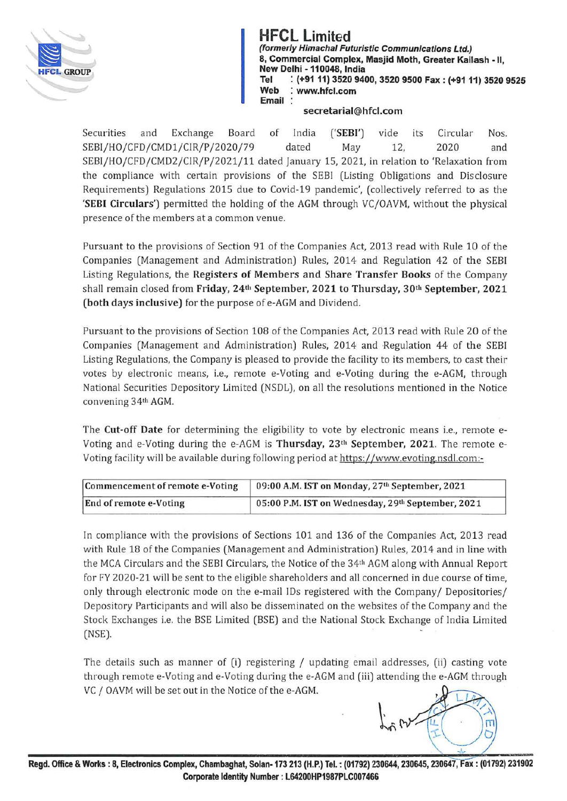

**(formerly Himachal Futuristic Communications Ltd.)** (formerly Himachal Futuristic Communications Ltd.)<br>8, Commercial Complex, Masjid Moth, Greater Kail<br>New Delhi - 110048, India 8, Commercial Complex, Masjid Moth, Greater Kailash - 11, New Delhi - 110048, India<br>Tel : (+91 11) 3520 940<br>Web : www.hfcl.com<br>Email : **Tel** : **(+91 11) 3520 9400, 3520 9500 Fax: (+91 11) 3520 9525 Web** : **www.hfcl.com Email** :

## **secretarial@hfcl.com**

Securities and Exchange Board of India **('SEBI')** vide its Circular Nos. SEBI/HO/CFD/CMD1/CIR/P/2020/79 dated May 12, 2020 and SEBI/HO/CFD/CMD2/CIR/P/2021/11 dated January 15, 2021, in relation to 'Relaxation from the compliance with certain provisions of the SEBI (Listing Obligations and Disclosure Requirements) Regulations 2015 due to Covid-19 pandemic', (collectively referred to as the **'SEBI Circulars')** permitted the holding of the AGM through VC/OAVM, without the physical presence of the members at a common venue.

Pursuant to the provisions of Section 91 of the Companies Act, 2013 read with Rule 10 of the Companies (Management and Administration) Rules, 2014 and Regulation 42 of the SEBI Listing Regulations, the **Registers of Members and Share Transfer Books** of the Company shall remain closed from **Friday, 24th September, 2021 to Thursday, 30th September, 2021 (both days inclusive)** for the purpose of e-AGM and Dividend.

Pursuant to the provisions of Section 108 of the Companies Act, 2013 read with Rule 20 of the Companies (Management and Administration) Rules, 2014 and Regulation 44 of the SEBI Listing Regulations, the Company is pleased to provide the facility to its members, to cast their votes by electronic means, i.e., remote e-Voting and e-Voting during the e-AGM, through National Securities Depository Limited (NSDL), on all the resolutions mentioned in the Notice convening 34th AGM.

The **Cut-off Date** for determining the eligibility to vote by electronic means i.e., remote e-Voting and e-Voting during the e-AGM is **Thursday, 23th September, 2021.** The remote e-Voting facility will be available during following period at https://www.evoting.nsdl.com:-

| Commencement of remote e-Voting | 09:00 A.M. IST on Monday, 27th September, 2021    |
|---------------------------------|---------------------------------------------------|
| End of remote e-Voting          | 05:00 P.M. IST on Wednesday, 29th September, 2021 |

**In** compliance with the provisions of Sections 101 and 136 of the Companies Act, 2013 read with Rule 18 of the Companies (Management and Administration) Rules, 2014 and in line with the MCA Circulars and the SEBI Circulars, the Notice of the 34th AGM along with Annual Report for FY 2020-21 will be sent to the eligible shareholders and all concerned in due course of time, only through electronic mode on the e-mail IDs registered with the Company/ Depositories/ Depository Participants and will also be disseminated on the websites of the Company and the Stock Exchanges i.e. the BSE Limited (BSE) and the National Stock Exchange of India Limited (NSE).

The details such as manner of (i) registering / updating email addresses, (ii) casting vote through remote e-Voting and e-Voting during the e-AGM and (iii) attending the e-AGM through VC / OAVM will be set out in the Notice of the e-AGM.

 $\int_{\gamma}$  ly  $\overline{\mathbf{m}}$